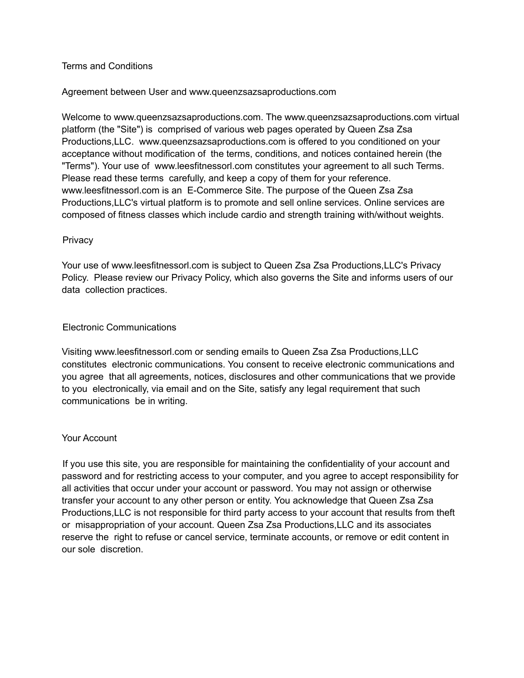### Terms and Conditions

### Agreement between User and www.queenzsazsaproductions.com

Welcome to www.queenzsazsaproductions.com. The www.queenzsazsaproductions.com virtual platform (the "Site") is comprised of various web pages operated by Queen Zsa Zsa Productions,LLC. www.queenzsazsaproductions.com is offered to you conditioned on your acceptance without modification of the terms, conditions, and notices contained herein (the "Terms"). Your use of www.leesfitnessorl.com constitutes your agreement to all such Terms. Please read these terms carefully, and keep a copy of them for your reference. www.leesfitnessorl.com is an E-Commerce Site. The purpose of the Queen Zsa Zsa Productions,LLC's virtual platform is to promote and sell online services. Online services are composed of fitness classes which include cardio and strength training with/without weights.

### Privacy

Your use of www.leesfitnessorl.com is subject to Queen Zsa Zsa Productions,LLC's Privacy Policy. Please review our Privacy Policy, which also governs the Site and informs users of our data collection practices.

## Electronic Communications

Visiting www.leesfitnessorl.com or sending emails to Queen Zsa Zsa Productions,LLC constitutes electronic communications. You consent to receive electronic communications and you agree that all agreements, notices, disclosures and other communications that we provide to you electronically, via email and on the Site, satisfy any legal requirement that such communications be in writing.

### Your Account

If you use this site, you are responsible for maintaining the confidentiality of your account and password and for restricting access to your computer, and you agree to accept responsibility for all activities that occur under your account or password. You may not assign or otherwise transfer your account to any other person or entity. You acknowledge that Queen Zsa Zsa Productions,LLC is not responsible for third party access to your account that results from theft or misappropriation of your account. Queen Zsa Zsa Productions,LLC and its associates reserve the right to refuse or cancel service, terminate accounts, or remove or edit content in our sole discretion.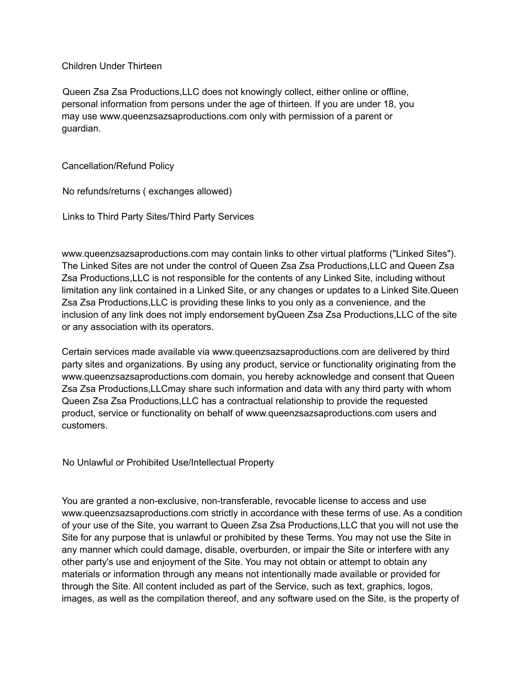Children Under Thirteen

Queen Zsa Zsa Productions,LLC does not knowingly collect, either online or offline, personal information from persons under the age of thirteen. If you are under 18, you may use www.queenzsazsaproductions.com only with permission of a parent or guardian.

#### Cancellation/Refund Policy

No refunds/returns ( exchanges allowed)

Links to Third Party Sites/Third Party Services

www.queenzsazsaproductions.com may contain links to other virtual platforms ("Linked Sites"). The Linked Sites are not under the control of Queen Zsa Zsa Productions,LLC and Queen Zsa Zsa Productions,LLC is not responsible for the contents of any Linked Site, including without limitation any link contained in a Linked Site, or any changes or updates to a Linked Site.Queen Zsa Zsa Productions,LLC is providing these links to you only as a convenience, and the inclusion of any link does not imply endorsement byQueen Zsa Zsa Productions,LLC of the site or any association with its operators.

Certain services made available via www.queenzsazsaproductions.com are delivered by third party sites and organizations. By using any product, service or functionality originating from the www.queenzsazsaproductions.com domain, you hereby acknowledge and consent that Queen Zsa Zsa Productions,LLCmay share such information and data with any third party with whom Queen Zsa Zsa Productions,LLC has a contractual relationship to provide the requested product, service or functionality on behalf of www.queenzsazsaproductions.com users and customers.

No Unlawful or Prohibited Use/Intellectual Property

You are granted a non-exclusive, non-transferable, revocable license to access and use www.queenzsazsaproductions.com strictly in accordance with these terms of use. As a condition of your use of the Site, you warrant to Queen Zsa Zsa Productions,LLC that you will not use the Site for any purpose that is unlawful or prohibited by these Terms. You may not use the Site in any manner which could damage, disable, overburden, or impair the Site or interfere with any other party's use and enjoyment of the Site. You may not obtain or attempt to obtain any materials or information through any means not intentionally made available or provided for through the Site. All content included as part of the Service, such as text, graphics, logos, images, as well as the compilation thereof, and any software used on the Site, is the property of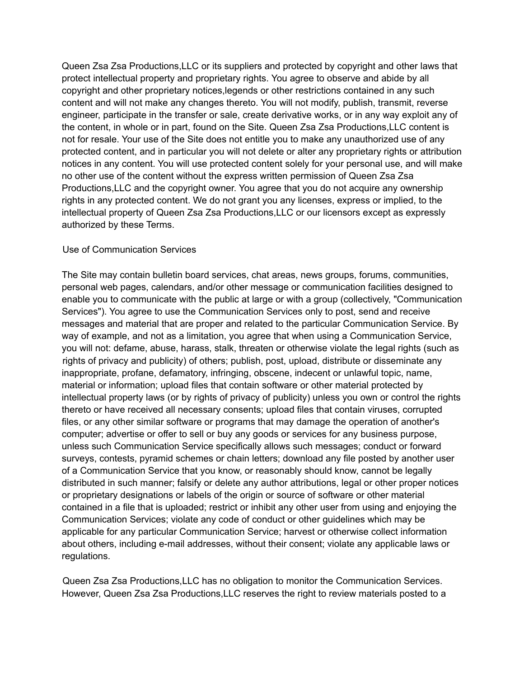Queen Zsa Zsa Productions,LLC or its suppliers and protected by copyright and other laws that protect intellectual property and proprietary rights. You agree to observe and abide by all copyright and other proprietary notices,legends or other restrictions contained in any such content and will not make any changes thereto. You will not modify, publish, transmit, reverse engineer, participate in the transfer or sale, create derivative works, or in any way exploit any of the content, in whole or in part, found on the Site. Queen Zsa Zsa Productions,LLC content is not for resale. Your use of the Site does not entitle you to make any unauthorized use of any protected content, and in particular you will not delete or alter any proprietary rights or attribution notices in any content. You will use protected content solely for your personal use, and will make no other use of the content without the express written permission of Queen Zsa Zsa Productions,LLC and the copyright owner. You agree that you do not acquire any ownership rights in any protected content. We do not grant you any licenses, express or implied, to the intellectual property of Queen Zsa Zsa Productions,LLC or our licensors except as expressly authorized by these Terms.

### Use of Communication Services

The Site may contain bulletin board services, chat areas, news groups, forums, communities, personal web pages, calendars, and/or other message or communication facilities designed to enable you to communicate with the public at large or with a group (collectively, "Communication Services"). You agree to use the Communication Services only to post, send and receive messages and material that are proper and related to the particular Communication Service. By way of example, and not as a limitation, you agree that when using a Communication Service, you will not: defame, abuse, harass, stalk, threaten or otherwise violate the legal rights (such as rights of privacy and publicity) of others; publish, post, upload, distribute or disseminate any inappropriate, profane, defamatory, infringing, obscene, indecent or unlawful topic, name, material or information; upload files that contain software or other material protected by intellectual property laws (or by rights of privacy of publicity) unless you own or control the rights thereto or have received all necessary consents; upload files that contain viruses, corrupted files, or any other similar software or programs that may damage the operation of another's computer; advertise or offer to sell or buy any goods or services for any business purpose, unless such Communication Service specifically allows such messages; conduct or forward surveys, contests, pyramid schemes or chain letters; download any file posted by another user of a Communication Service that you know, or reasonably should know, cannot be legally distributed in such manner; falsify or delete any author attributions, legal or other proper notices or proprietary designations or labels of the origin or source of software or other material contained in a file that is uploaded; restrict or inhibit any other user from using and enjoying the Communication Services; violate any code of conduct or other guidelines which may be applicable for any particular Communication Service; harvest or otherwise collect information about others, including e-mail addresses, without their consent; violate any applicable laws or regulations.

Queen Zsa Zsa Productions,LLC has no obligation to monitor the Communication Services. However, Queen Zsa Zsa Productions,LLC reserves the right to review materials posted to a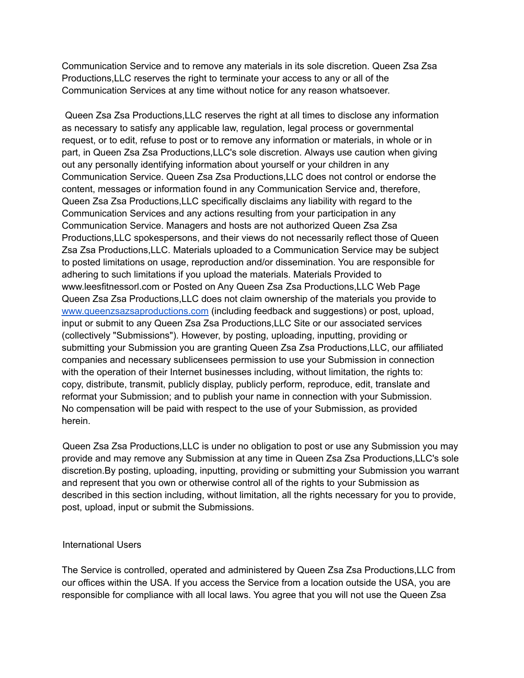Communication Service and to remove any materials in its sole discretion. Queen Zsa Zsa Productions,LLC reserves the right to terminate your access to any or all of the Communication Services at any time without notice for any reason whatsoever.

Queen Zsa Zsa Productions,LLC reserves the right at all times to disclose any information as necessary to satisfy any applicable law, regulation, legal process or governmental request, or to edit, refuse to post or to remove any information or materials, in whole or in part, in Queen Zsa Zsa Productions,LLC's sole discretion. Always use caution when giving out any personally identifying information about yourself or your children in any Communication Service. Queen Zsa Zsa Productions,LLC does not control or endorse the content, messages or information found in any Communication Service and, therefore, Queen Zsa Zsa Productions,LLC specifically disclaims any liability with regard to the Communication Services and any actions resulting from your participation in any Communication Service. Managers and hosts are not authorized Queen Zsa Zsa Productions,LLC spokespersons, and their views do not necessarily reflect those of Queen Zsa Zsa Productions,LLC. Materials uploaded to a Communication Service may be subject to posted limitations on usage, reproduction and/or dissemination. You are responsible for adhering to such limitations if you upload the materials. Materials Provided to www.leesfitnessorl.com or Posted on Any Queen Zsa Zsa Productions,LLC Web Page Queen Zsa Zsa Productions,LLC does not claim ownership of the materials you provide to [www.queenzsazsaproductions.com](http://www.queenzsazsaproductions.com) (including feedback and suggestions) or post, upload, input or submit to any Queen Zsa Zsa Productions,LLC Site or our associated services (collectively "Submissions"). However, by posting, uploading, inputting, providing or submitting your Submission you are granting Queen Zsa Zsa Productions,LLC, our affiliated companies and necessary sublicensees permission to use your Submission in connection with the operation of their Internet businesses including, without limitation, the rights to: copy, distribute, transmit, publicly display, publicly perform, reproduce, edit, translate and reformat your Submission; and to publish your name in connection with your Submission. No compensation will be paid with respect to the use of your Submission, as provided herein.

Queen Zsa Zsa Productions,LLC is under no obligation to post or use any Submission you may provide and may remove any Submission at any time in Queen Zsa Zsa Productions,LLC's sole discretion.By posting, uploading, inputting, providing or submitting your Submission you warrant and represent that you own or otherwise control all of the rights to your Submission as described in this section including, without limitation, all the rights necessary for you to provide, post, upload, input or submit the Submissions.

### International Users

The Service is controlled, operated and administered by Queen Zsa Zsa Productions,LLC from our offices within the USA. If you access the Service from a location outside the USA, you are responsible for compliance with all local laws. You agree that you will not use the Queen Zsa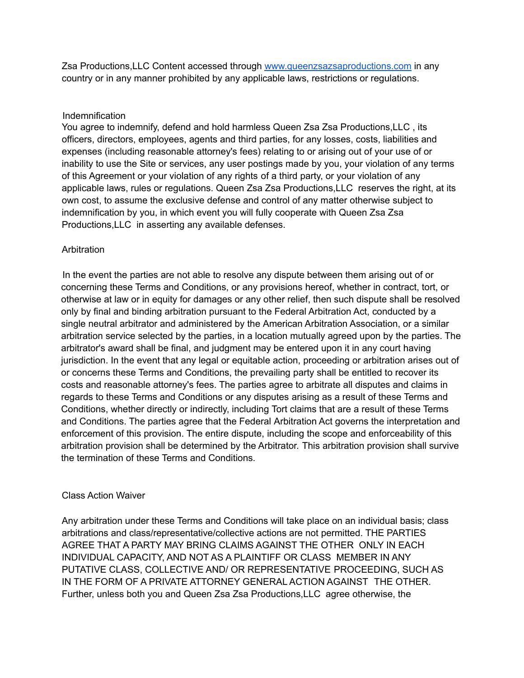Zsa Productions,LLC Content accessed through [www.queenzsazsaproductions.com](http://www.queenzsazsaproductions.com) in any country or in any manner prohibited by any applicable laws, restrictions or regulations.

### Indemnification

You agree to indemnify, defend and hold harmless Queen Zsa Zsa Productions, LLC, its officers, directors, employees, agents and third parties, for any losses, costs, liabilities and expenses (including reasonable attorney's fees) relating to or arising out of your use of or inability to use the Site or services, any user postings made by you, your violation of any terms of this Agreement or your violation of any rights of a third party, or your violation of any applicable laws, rules or regulations. Queen Zsa Zsa Productions,LLC reserves the right, at its own cost, to assume the exclusive defense and control of any matter otherwise subject to indemnification by you, in which event you will fully cooperate with Queen Zsa Zsa Productions,LLC in asserting any available defenses.

## Arbitration

In the event the parties are not able to resolve any dispute between them arising out of or concerning these Terms and Conditions, or any provisions hereof, whether in contract, tort, or otherwise at law or in equity for damages or any other relief, then such dispute shall be resolved only by final and binding arbitration pursuant to the Federal Arbitration Act, conducted by a single neutral arbitrator and administered by the American Arbitration Association, or a similar arbitration service selected by the parties, in a location mutually agreed upon by the parties. The arbitrator's award shall be final, and judgment may be entered upon it in any court having jurisdiction. In the event that any legal or equitable action, proceeding or arbitration arises out of or concerns these Terms and Conditions, the prevailing party shall be entitled to recover its costs and reasonable attorney's fees. The parties agree to arbitrate all disputes and claims in regards to these Terms and Conditions or any disputes arising as a result of these Terms and Conditions, whether directly or indirectly, including Tort claims that are a result of these Terms and Conditions. The parties agree that the Federal Arbitration Act governs the interpretation and enforcement of this provision. The entire dispute, including the scope and enforceability of this arbitration provision shall be determined by the Arbitrator. This arbitration provision shall survive the termination of these Terms and Conditions.

### Class Action Waiver

Any arbitration under these Terms and Conditions will take place on an individual basis; class arbitrations and class/representative/collective actions are not permitted. THE PARTIES AGREE THAT A PARTY MAY BRING CLAIMS AGAINST THE OTHER ONLY IN EACH INDIVIDUAL CAPACITY, AND NOT AS A PLAINTIFF OR CLASS MEMBER IN ANY PUTATIVE CLASS, COLLECTIVE AND/ OR REPRESENTATIVE PROCEEDING, SUCH AS IN THE FORM OF A PRIVATE ATTORNEY GENERAL ACTION AGAINST THE OTHER. Further, unless both you and Queen Zsa Zsa Productions,LLC agree otherwise, the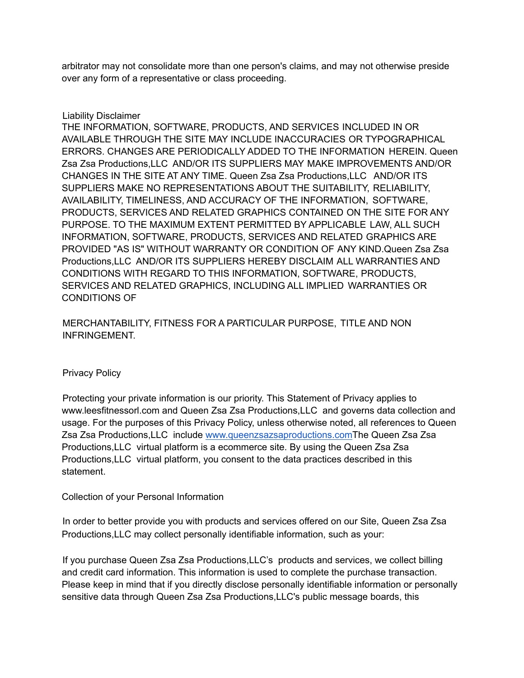arbitrator may not consolidate more than one person's claims, and may not otherwise preside over any form of a representative or class proceeding.

## Liability Disclaimer

THE INFORMATION, SOFTWARE, PRODUCTS, AND SERVICES INCLUDED IN OR AVAILABLE THROUGH THE SITE MAY INCLUDE INACCURACIES OR TYPOGRAPHICAL ERRORS. CHANGES ARE PERIODICALLY ADDED TO THE INFORMATION HEREIN. Queen Zsa Zsa Productions,LLC AND/OR ITS SUPPLIERS MAY MAKE IMPROVEMENTS AND/OR CHANGES IN THE SITE AT ANY TIME. Queen Zsa Zsa Productions,LLC AND/OR ITS SUPPLIERS MAKE NO REPRESENTATIONS ABOUT THE SUITABILITY, RELIABILITY, AVAILABILITY, TIMELINESS, AND ACCURACY OF THE INFORMATION, SOFTWARE, PRODUCTS, SERVICES AND RELATED GRAPHICS CONTAINED ON THE SITE FOR ANY PURPOSE. TO THE MAXIMUM EXTENT PERMITTED BY APPLICABLE LAW, ALL SUCH INFORMATION, SOFTWARE, PRODUCTS, SERVICES AND RELATED GRAPHICS ARE PROVIDED "AS IS" WITHOUT WARRANTY OR CONDITION OF ANY KIND.Queen Zsa Zsa Productions,LLC AND/OR ITS SUPPLIERS HEREBY DISCLAIM ALL WARRANTIES AND CONDITIONS WITH REGARD TO THIS INFORMATION, SOFTWARE, PRODUCTS, SERVICES AND RELATED GRAPHICS, INCLUDING ALL IMPLIED WARRANTIES OR CONDITIONS OF

## MERCHANTABILITY, FITNESS FOR A PARTICULAR PURPOSE, TITLE AND NON INFRINGEMENT.

### Privacy Policy

Protecting your private information is our priority. This Statement of Privacy applies to www.leesfitnessorl.com and Queen Zsa Zsa Productions,LLC and governs data collection and usage. For the purposes of this Privacy Policy, unless otherwise noted, all references to Queen Zsa Zsa Productions,LLC include [www.queenzsazsaproductions.comT](http://www.queenzsazsaproductions.com)he Queen Zsa Zsa Productions,LLC virtual platform is a ecommerce site. By using the Queen Zsa Zsa Productions,LLC virtual platform, you consent to the data practices described in this statement.

# Collection of your Personal Information

In order to better provide you with products and services offered on our Site, Queen Zsa Zsa Productions,LLC may collect personally identifiable information, such as your:

If you purchase Queen Zsa Zsa Productions,LLC's products and services, we collect billing and credit card information. This information is used to complete the purchase transaction. Please keep in mind that if you directly disclose personally identifiable information or personally sensitive data through Queen Zsa Zsa Productions,LLC's public message boards, this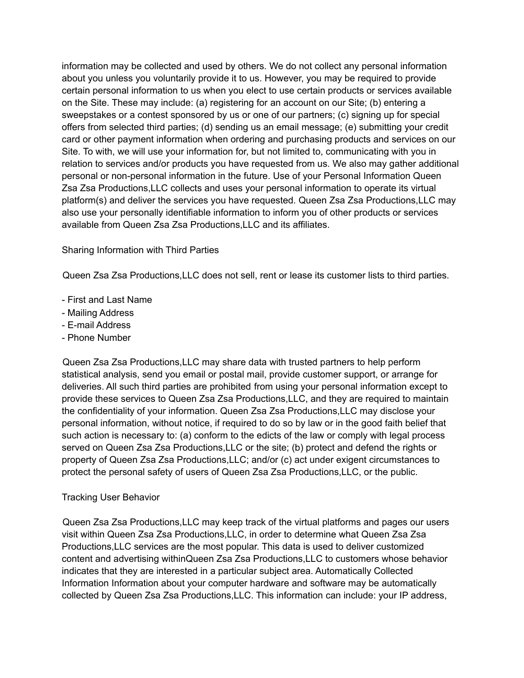information may be collected and used by others. We do not collect any personal information about you unless you voluntarily provide it to us. However, you may be required to provide certain personal information to us when you elect to use certain products or services available on the Site. These may include: (a) registering for an account on our Site; (b) entering a sweepstakes or a contest sponsored by us or one of our partners; (c) signing up for special offers from selected third parties; (d) sending us an email message; (e) submitting your credit card or other payment information when ordering and purchasing products and services on our Site. To with, we will use your information for, but not limited to, communicating with you in relation to services and/or products you have requested from us. We also may gather additional personal or non-personal information in the future. Use of your Personal Information Queen Zsa Zsa Productions,LLC collects and uses your personal information to operate its virtual platform(s) and deliver the services you have requested. Queen Zsa Zsa Productions,LLC may also use your personally identifiable information to inform you of other products or services available from Queen Zsa Zsa Productions,LLC and its affiliates.

## Sharing Information with Third Parties

Queen Zsa Zsa Productions,LLC does not sell, rent or lease its customer lists to third parties.

- First and Last Name
- Mailing Address
- E-mail Address
- Phone Number

Queen Zsa Zsa Productions,LLC may share data with trusted partners to help perform statistical analysis, send you email or postal mail, provide customer support, or arrange for deliveries. All such third parties are prohibited from using your personal information except to provide these services to Queen Zsa Zsa Productions,LLC, and they are required to maintain the confidentiality of your information. Queen Zsa Zsa Productions,LLC may disclose your personal information, without notice, if required to do so by law or in the good faith belief that such action is necessary to: (a) conform to the edicts of the law or comply with legal process served on Queen Zsa Zsa Productions,LLC or the site; (b) protect and defend the rights or property of Queen Zsa Zsa Productions,LLC; and/or (c) act under exigent circumstances to protect the personal safety of users of Queen Zsa Zsa Productions,LLC, or the public.

# Tracking User Behavior

Queen Zsa Zsa Productions,LLC may keep track of the virtual platforms and pages our users visit within Queen Zsa Zsa Productions,LLC, in order to determine what Queen Zsa Zsa Productions,LLC services are the most popular. This data is used to deliver customized content and advertising withinQueen Zsa Zsa Productions,LLC to customers whose behavior indicates that they are interested in a particular subject area. Automatically Collected Information Information about your computer hardware and software may be automatically collected by Queen Zsa Zsa Productions,LLC. This information can include: your IP address,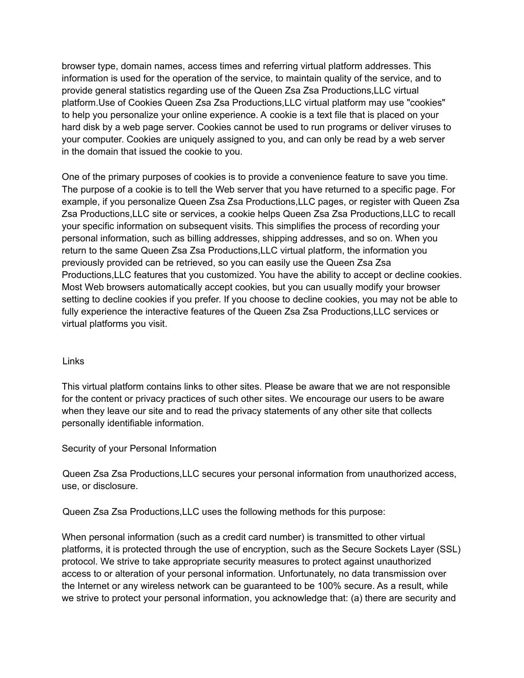browser type, domain names, access times and referring virtual platform addresses. This information is used for the operation of the service, to maintain quality of the service, and to provide general statistics regarding use of the Queen Zsa Zsa Productions,LLC virtual platform.Use of Cookies Queen Zsa Zsa Productions,LLC virtual platform may use "cookies" to help you personalize your online experience. A cookie is a text file that is placed on your hard disk by a web page server. Cookies cannot be used to run programs or deliver viruses to your computer. Cookies are uniquely assigned to you, and can only be read by a web server in the domain that issued the cookie to you.

One of the primary purposes of cookies is to provide a convenience feature to save you time. The purpose of a cookie is to tell the Web server that you have returned to a specific page. For example, if you personalize Queen Zsa Zsa Productions,LLC pages, or register with Queen Zsa Zsa Productions,LLC site or services, a cookie helps Queen Zsa Zsa Productions,LLC to recall your specific information on subsequent visits. This simplifies the process of recording your personal information, such as billing addresses, shipping addresses, and so on. When you return to the same Queen Zsa Zsa Productions,LLC virtual platform, the information you previously provided can be retrieved, so you can easily use the Queen Zsa Zsa Productions,LLC features that you customized. You have the ability to accept or decline cookies. Most Web browsers automatically accept cookies, but you can usually modify your browser setting to decline cookies if you prefer. If you choose to decline cookies, you may not be able to fully experience the interactive features of the Queen Zsa Zsa Productions,LLC services or virtual platforms you visit.

### Links

This virtual platform contains links to other sites. Please be aware that we are not responsible for the content or privacy practices of such other sites. We encourage our users to be aware when they leave our site and to read the privacy statements of any other site that collects personally identifiable information.

Security of your Personal Information

Queen Zsa Zsa Productions,LLC secures your personal information from unauthorized access, use, or disclosure.

Queen Zsa Zsa Productions,LLC uses the following methods for this purpose:

When personal information (such as a credit card number) is transmitted to other virtual platforms, it is protected through the use of encryption, such as the Secure Sockets Layer (SSL) protocol. We strive to take appropriate security measures to protect against unauthorized access to or alteration of your personal information. Unfortunately, no data transmission over the Internet or any wireless network can be guaranteed to be 100% secure. As a result, while we strive to protect your personal information, you acknowledge that: (a) there are security and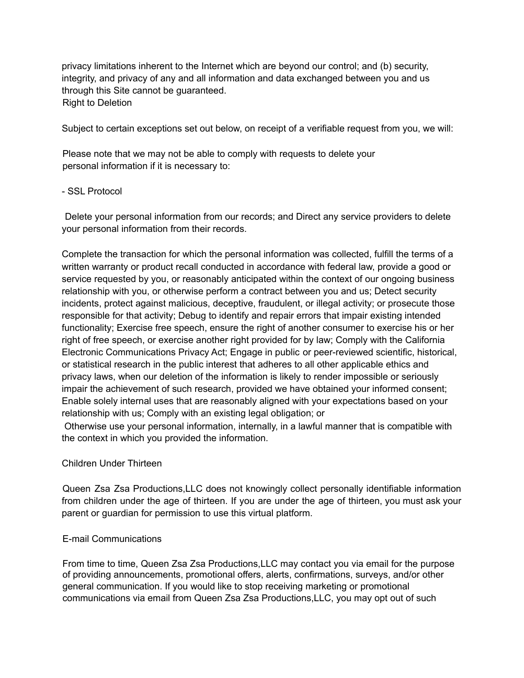privacy limitations inherent to the Internet which are beyond our control; and (b) security, integrity, and privacy of any and all information and data exchanged between you and us through this Site cannot be guaranteed. Right to Deletion

Subject to certain exceptions set out below, on receipt of a verifiable request from you, we will:

Please note that we may not be able to comply with requests to delete your personal information if it is necessary to:

### - SSL Protocol

Delete your personal information from our records; and Direct any service providers to delete your personal information from their records.

Complete the transaction for which the personal information was collected, fulfill the terms of a written warranty or product recall conducted in accordance with federal law, provide a good or service requested by you, or reasonably anticipated within the context of our ongoing business relationship with you, or otherwise perform a contract between you and us; Detect security incidents, protect against malicious, deceptive, fraudulent, or illegal activity; or prosecute those responsible for that activity; Debug to identify and repair errors that impair existing intended functionality; Exercise free speech, ensure the right of another consumer to exercise his or her right of free speech, or exercise another right provided for by law; Comply with the California Electronic Communications Privacy Act; Engage in public or peer-reviewed scientific, historical, or statistical research in the public interest that adheres to all other applicable ethics and privacy laws, when our deletion of the information is likely to render impossible or seriously impair the achievement of such research, provided we have obtained your informed consent; Enable solely internal uses that are reasonably aligned with your expectations based on your relationship with us; Comply with an existing legal obligation; or

Otherwise use your personal information, internally, in a lawful manner that is compatible with the context in which you provided the information.

### Children Under Thirteen

Queen Zsa Zsa Productions,LLC does not knowingly collect personally identifiable information from children under the age of thirteen. If you are under the age of thirteen, you must ask your parent or guardian for permission to use this virtual platform.

### E-mail Communications

From time to time, Queen Zsa Zsa Productions,LLC may contact you via email for the purpose of providing announcements, promotional offers, alerts, confirmations, surveys, and/or other general communication. If you would like to stop receiving marketing or promotional communications via email from Queen Zsa Zsa Productions,LLC, you may opt out of such